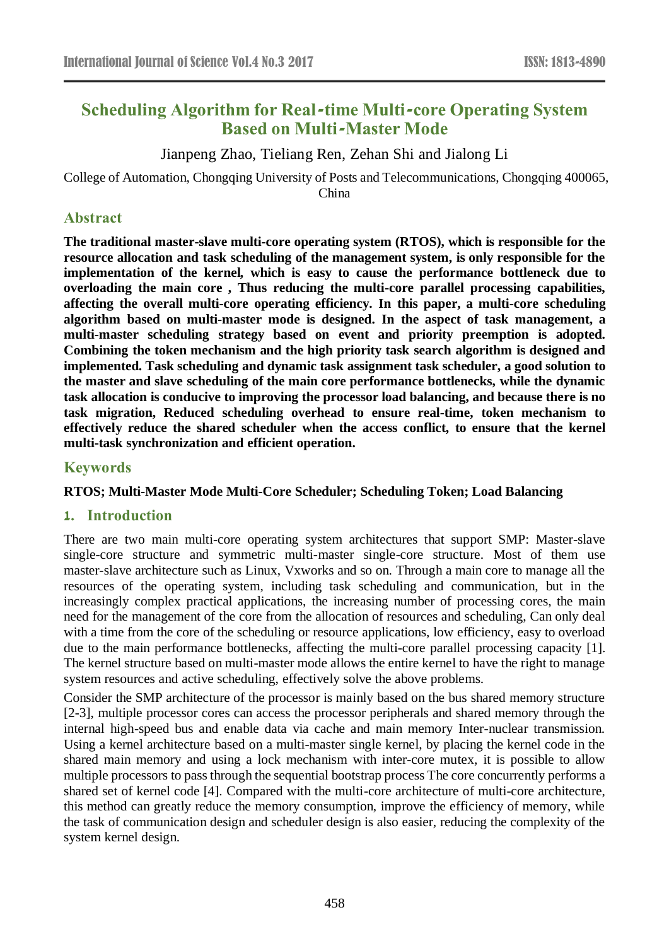# **Scheduling Algorithm for Real-time Multi-core Operating System Based on Multi-Master Mode**

Jianpeng Zhao, Tieliang Ren, Zehan Shi and Jialong Li

College of Automation, Chongqing University of Posts and Telecommunications, Chongqing 400065, China

### **Abstract**

**The traditional master-slave multi-core operating system (RTOS), which is responsible for the resource allocation and task scheduling of the management system, is only responsible for the implementation of the kernel, which is easy to cause the performance bottleneck due to overloading the main core , Thus reducing the multi-core parallel processing capabilities, affecting the overall multi-core operating efficiency. In this paper, a multi-core scheduling algorithm based on multi-master mode is designed. In the aspect of task management, a multi-master scheduling strategy based on event and priority preemption is adopted. Combining the token mechanism and the high priority task search algorithm is designed and implemented. Task scheduling and dynamic task assignment task scheduler, a good solution to the master and slave scheduling of the main core performance bottlenecks, while the dynamic task allocation is conducive to improving the processor load balancing, and because there is no task migration, Reduced scheduling overhead to ensure real-time, token mechanism to effectively reduce the shared scheduler when the access conflict, to ensure that the kernel multi-task synchronization and efficient operation.**

## **Keywords**

### **RTOS; Multi-Master Mode Multi-Core Scheduler; Scheduling Token; Load Balancing**

### **1. Introduction**

There are two main multi-core operating system architectures that support SMP: Master-slave single-core structure and symmetric multi-master single-core structure. Most of them use master-slave architecture such as Linux, Vxworks and so on. Through a main core to manage all the resources of the operating system, including task scheduling and communication, but in the increasingly complex practical applications, the increasing number of processing cores, the main need for the management of the core from the allocation of resources and scheduling, Can only deal with a time from the core of the scheduling or resource applications, low efficiency, easy to overload due to the main performance bottlenecks, affecting the multi-core parallel processing capacity [1]. The kernel structure based on multi-master mode allows the entire kernel to have the right to manage system resources and active scheduling, effectively solve the above problems.

Consider the SMP architecture of the processor is mainly based on the bus shared memory structure [2-3], multiple processor cores can access the processor peripherals and shared memory through the internal high-speed bus and enable data via cache and main memory Inter-nuclear transmission. Using a kernel architecture based on a multi-master single kernel, by placing the kernel code in the shared main memory and using a lock mechanism with inter-core mutex, it is possible to allow multiple processors to pass through the sequential bootstrap process The core concurrently performs a shared set of kernel code [4]. Compared with the multi-core architecture of multi-core architecture, this method can greatly reduce the memory consumption, improve the efficiency of memory, while the task of communication design and scheduler design is also easier, reducing the complexity of the system kernel design.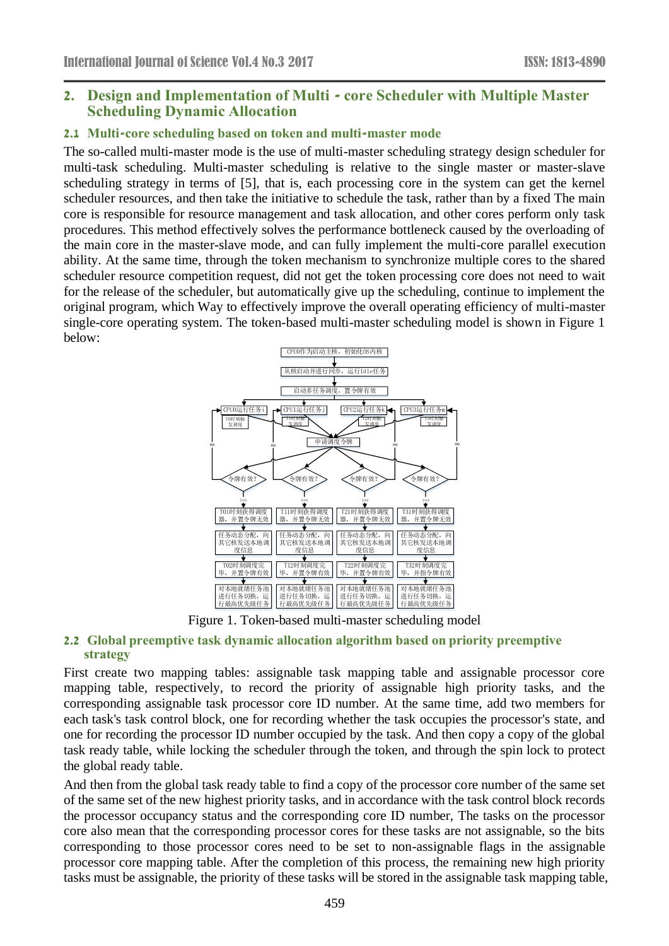### **2. Design and Implementation of Multi - core Scheduler with Multiple Master Scheduling Dynamic Allocation**

#### **2.1 Multi-core scheduling based on token and multi-master mode**

The so-called multi-master mode is the use of multi-master scheduling strategy design scheduler for multi-task scheduling. Multi-master scheduling is relative to the single master or master-slave scheduling strategy in terms of [5], that is, each processing core in the system can get the kernel scheduler resources, and then take the initiative to schedule the task, rather than by a fixed The main core is responsible for resource management and task allocation, and other cores perform only task procedures. This method effectively solves the performance bottleneck caused by the overloading of the main core in the master-slave mode, and can fully implement the multi-core parallel execution ability. At the same time, through the token mechanism to synchronize multiple cores to the shared scheduler resource competition request, did not get the token processing core does not need to wait for the release of the scheduler, but automatically give up the scheduling, continue to implement the original program, which Way to effectively improve the overall operating efficiency of multi-master single-core operating system. The token-based multi-master scheduling model is shown in Figure 1 below:



Figure 1. Token-based multi-master scheduling model

#### **2.2 Global preemptive task dynamic allocation algorithm based on priority preemptive strategy**

First create two mapping tables: assignable task mapping table and assignable processor core mapping table, respectively, to record the priority of assignable high priority tasks, and the corresponding assignable task processor core ID number. At the same time, add two members for each task's task control block, one for recording whether the task occupies the processor's state, and one for recording the processor ID number occupied by the task. And then copy a copy of the global task ready table, while locking the scheduler through the token, and through the spin lock to protect the global ready table.

And then from the global task ready table to find a copy of the processor core number of the same set of the same set of the new highest priority tasks, and in accordance with the task control block records the processor occupancy status and the corresponding core ID number, The tasks on the processor core also mean that the corresponding processor cores for these tasks are not assignable, so the bits corresponding to those processor cores need to be set to non-assignable flags in the assignable processor core mapping table. After the completion of this process, the remaining new high priority tasks must be assignable, the priority of these tasks will be stored in the assignable task mapping table,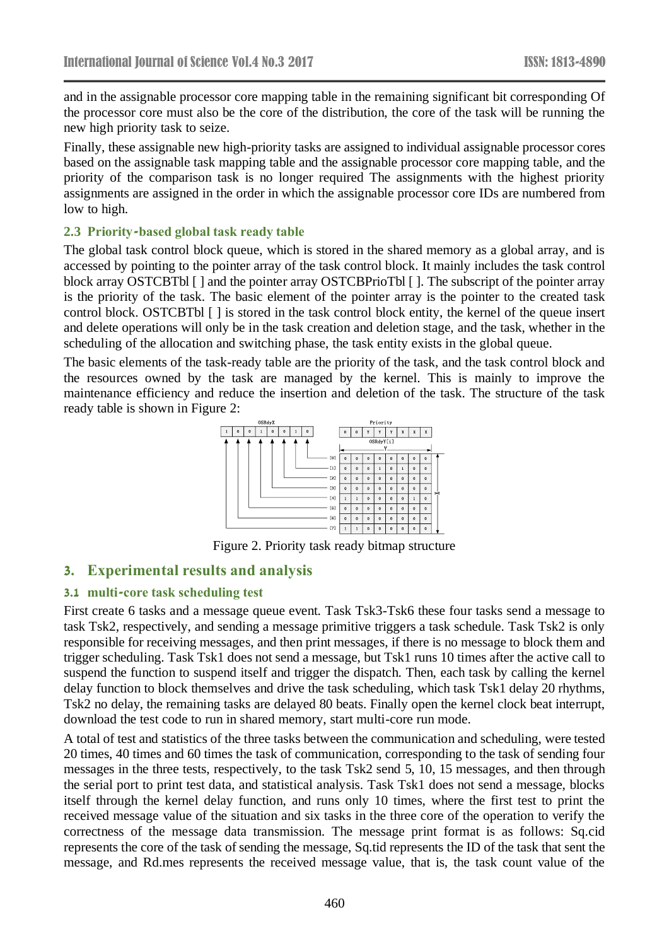and in the assignable processor core mapping table in the remaining significant bit corresponding Of the processor core must also be the core of the distribution, the core of the task will be running the new high priority task to seize.

Finally, these assignable new high-priority tasks are assigned to individual assignable processor cores based on the assignable task mapping table and the assignable processor core mapping table, and the priority of the comparison task is no longer required The assignments with the highest priority assignments are assigned in the order in which the assignable processor core IDs are numbered from low to high.

#### **2.3 Priority-based global task ready table**

The global task control block queue, which is stored in the shared memory as a global array, and is accessed by pointing to the pointer array of the task control block. It mainly includes the task control block array OSTCBTbl [] and the pointer array OSTCBPrioTbl []. The subscript of the pointer array is the priority of the task. The basic element of the pointer array is the pointer to the created task control block. OSTCBTbl [ ] is stored in the task control block entity, the kernel of the queue insert and delete operations will only be in the task creation and deletion stage, and the task, whether in the scheduling of the allocation and switching phase, the task entity exists in the global queue.

The basic elements of the task-ready table are the priority of the task, and the task control block and the resources owned by the task are managed by the kernel. This is mainly to improve the maintenance efficiency and reduce the insertion and deletion of the task. The structure of the task ready table is shown in Figure 2:



Figure 2. Priority task ready bitmap structure

### **3. Experimental results and analysis**

#### **3.1 multi-core task scheduling test**

First create 6 tasks and a message queue event. Task Tsk3-Tsk6 these four tasks send a message to task Tsk2, respectively, and sending a message primitive triggers a task schedule. Task Tsk2 is only responsible for receiving messages, and then print messages, if there is no message to block them and trigger scheduling. Task Tsk1 does not send a message, but Tsk1 runs 10 times after the active call to suspend the function to suspend itself and trigger the dispatch. Then, each task by calling the kernel delay function to block themselves and drive the task scheduling, which task Tsk1 delay 20 rhythms, Tsk2 no delay, the remaining tasks are delayed 80 beats. Finally open the kernel clock beat interrupt, download the test code to run in shared memory, start multi-core run mode.

A total of test and statistics of the three tasks between the communication and scheduling, were tested 20 times, 40 times and 60 times the task of communication, corresponding to the task of sending four messages in the three tests, respectively, to the task Tsk2 send 5, 10, 15 messages, and then through the serial port to print test data, and statistical analysis. Task Tsk1 does not send a message, blocks itself through the kernel delay function, and runs only 10 times, where the first test to print the received message value of the situation and six tasks in the three core of the operation to verify the correctness of the message data transmission. The message print format is as follows: Sq.cid represents the core of the task of sending the message, Sq.tid represents the ID of the task that sent the message, and Rd.mes represents the received message value, that is, the task count value of the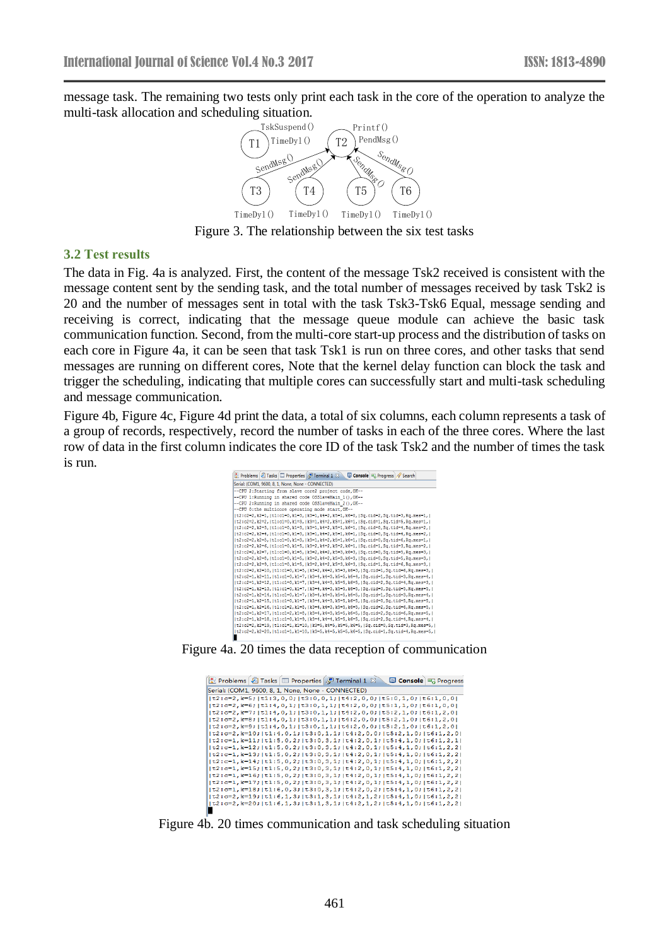message task. The remaining two tests only print each task in the core of the operation to analyze the multi-task allocation and scheduling situation.



Figure 3. The relationship between the six test tasks

#### **3.2 Test results**

The data in Fig. 4a is analyzed. First, the content of the message Tsk2 received is consistent with the message content sent by the sending task, and the total number of messages received by task Tsk2 is 20 and the number of messages sent in total with the task Tsk3-Tsk6 Equal, message sending and receiving is correct, indicating that the message queue module can achieve the basic task communication function. Second, from the multi-core start-up process and the distribution of tasks on each core in Figure 4a, it can be seen that task Tsk1 is run on three cores, and other tasks that send messages are running on different cores, Note that the kernel delay function can block the task and trigger the scheduling, indicating that multiple cores can successfully start and multi-task scheduling and message communication.

Figure 4b, Figure 4c, Figure 4d print the data, a total of six columns, each column represents a task of a group of records, respectively, record the number of tasks in each of the three cores. Where the last row of data in the first column indicates the core ID of the task Tsk2 and the number of times the task is run.

| Problems 2 Tasks <b>I</b> Properties P Terminal 1 23<br>Console <sub>R</sub> Progress & Search |
|------------------------------------------------------------------------------------------------|
| Serial: (COM1, 9600, 8, 1, None, None - CONNECTED)                                             |
| --CPU 2:Starting from slave core2 project code, OK--                                           |
| --CPU 1:Running in shared code OSSlaveMain 1(), OK--                                           |
| --CPU 2: Running in shared code OSSlaveMain 2(), OK--                                          |
| --CPU 0:the multicore operating mode start. OK--                                               |
| t2:c2=2, k2=1,   t1:c1=0, k1=3,   k3=1, k4=2, k5=1, k6=0,   Sq. cid=2, Sq. tid=3, Rq. mes=1,   |
| (t2:c2=2.k2=2.(t1:c1=0.k1=3.(k3=1.k4=2.k5=1.k6=1.(Sq.cid=1.Sq.tid=5.Rq.mes=1.)                 |
| t2:c2=2, k2=3,   t1:c1=0, k1=3,   k3=1, k4=2, k5=1, k6=1,   Sq. cid=0, Sq. tid=4, Rq. mes=2,   |
| (t2:c2=2.k2=4.(t1:c1=0.k1=3.(k3=1.k4=2.k5=1.k6=1.(Sq.cid=0.Sq.tid=4.Rq.mes=2.)(                |
| t2:c2=2, k2=5,   t1:c1=0, k1=3,   k3=1, k4=2, k5=1, k6=1,   Sq. cid=0, Sq. tid=6, Rq. mes=1,   |
| lt2:c2=2.k2=6.lt1:c1=0.k1=5.lk3=2.k4=2.k5=2.k6=1.lSq.cid=1.Sq.tid=3.Rq.mes=2.l                 |
| lt2:c2=2.k2=7.lt1:c1=0.k1=5.lk3=2.k4=2.k5=3.k6=3.lSq.cid=0.Sq.tid=5.Rq.mes=3.l                 |
| (t2:c2=2.k2=8.(t1:c1=0.k1=5.(k3=2.k4=2.k5=3.k6=3.(Sq.cid=0.Sq.tid=5.Rq.mes=3.)                 |
| t2:c2=2, k2=9,   t1:c1=0, k1=5,   k3=2, k4=2, k5=3, k6=3,   Sq. cid=1, Sq. tid=6, Rq. mes=3,   |
| t2:c2=2.k2=10.   t1:c1=0.k1=5.   k3=2.k4=2.k5=3.k6=3.   Sq.cid=1.Sq.tid=6.Rq.mes=3.            |
| t2:c2=1,k2=11, t1:c1=0,k1=7, k3=4,k4=3,k5=5,k6=4, Sq.cid=1,Sq.tid=3,Rq.mes=4,                  |
| t2:c2=1.k2=12.   t1:c1=0.k1=7.   k3=4.k4=3.k5=5.k6=5.   Sq.cid=2.Sq.tid=4.Rq.mes=3.            |
| t2:c2=1, k2=13,   t1:c1=0, k1=7,   k3=4, k4=3, k5=5, k6=5,   Sq.cid=0, Sq.tid=5, Rq.mes=5,     |
| t2:c2=1, k2=14,   t1:c1=0, k1=7,   k3=4, k4=3, k5=5, k6=5,   Sq.cid=1, Sq.tid=3, Rq.mes=4,     |
| lt2:c2=1.k2=15.lt1:c1=0.k1=7.lk3=4.k4=3.k5=5.k6=5.lSq.cid=0.Sq.tid=5.Rq.mes=5.l                |
| t2:c2=1, k2=16,   t1:c1=2, k1=8,   k3=4, k4=3, k5=5, k6=5,   Sq.cid=2, Sq.tid=6, Rq.mes=5,     |
| lt2:c2=1.k2=17.lt1:c1=2.k1=8.lk3=4.k4=3.k5=5.k6=5.lSq.cid=2.Sq.tid=6.Rq.mes=5.l                |
| t2:c2=1, k2=18,   t1:c1=0, k1=9,   k3=4, k4=4, k5=5, k6=5,   Sq.cid=2, Sq.tid=4, Rq.mes=4,     |
| lt2:c2=2.k2=19.lt1:c1=1.k1=10.lk3=5.k4=5.k5=5.k6=5.lSq.cid=0.Sq.tid=3.Rq.mes=5.l               |
| t2:c2=2,k2=20,   t1:c1=1,k1=10,   k3=5,k4=5,k5=5,k6=5,   Sq.cid=1,Sq.tid=4,Rq.mes=5,           |

Figure 4a. 20 times the data reception of communication

| Problems   Tasks   The Properties   Preminal 1 8<br><b>La Console B</b> Progress   |  |
|------------------------------------------------------------------------------------|--|
| Serial: (COM1, 9600, 8, 1, None, None - CONNECTED)                                 |  |
| t2:c=2,k=5; t1:3,0,0; t3:0,0,1; t4:2,0,0; t5:0,1,0; t6:1,0,0                       |  |
| lt2:c=2.k=6;lt1:4.0.1;lt3:0.1.1;lt4:2.0.0;lt5:1.1.0;lt6:1.0.01                     |  |
| t2:c=2,k=7; t1:4,0,1; t3:0,1,1; t4:2,0,0; t5:2,1,0; t6:1,2,0                       |  |
| t2:c=2,k=8; t1:4,0,1; t3:0,1,1; t4:2,0,0; t5:2,1,0; t6:1,2,0                       |  |
| lt2:c=2,k=9;lt1:4,0,1;lt3:0,1,1;lt4:2,0,0;lt5:2,1,0;lt6:1,2,0                      |  |
| t2:c=2,k=10; t1:4,0,1; t3:0,1,1; t4:2,0,0; t5:2,1,0; t6:1,2,0                      |  |
| t2:c=1,k=11; t1:5,0,2; t3:0,3,1; t4:2,0,1; t5:4,1,0; t6:1,2,1                      |  |
| t2:c=1,k=12; t1:5,0,2; t3:0,3,1; t4:2,0,1; t5:4,1,0; t6:1,2,2                      |  |
| lt2:c=1,k=13;lt1:5,0,2;lt3:0,3,1;lt4:2,0,1;lt5:4,1,0;lt6:1,2,2l                    |  |
| t2:c=1,k=14; t1:5,0,2; t3:0,3,1; t4:2,0,1; t5:4,1,0; t6:1,2,2                      |  |
| t2:c=1,k=15; t1:5,0,2; t3:0,3,1; t4:2,0,1; t5:4,1,0; t6:1,2,2                      |  |
| t2:c=1,k=16; t1:5,0,2; t3:0,3,1; t4:2,0,1; t5:4,1,0; t6:1,2,2                      |  |
| t2:c=1,k=17; t1:5,0,2; t3:0,3,1; t4:2,0,1; t5:4,1,0; t6:1,2,2                      |  |
| t2:c=1,k=18; t1:6,0,3; t3:0,3,1; t4:2,0,2; t5:4,1,0; t6:1,2,2                      |  |
| t2:c=2,k=19; t1:6,1,3; t3:1,3,1; t4:2,1,2; t5:4,1,0; t6:1,2,2                      |  |
| $ t2: c=2, k=20;  t1:6, 1, 3,  t3:1, 3, 1,  t4:2, 1, 2,  t5:4, 1, 0,  t6:1, 2, 2 $ |  |
|                                                                                    |  |

Figure 4b. 20 times communication and task scheduling situation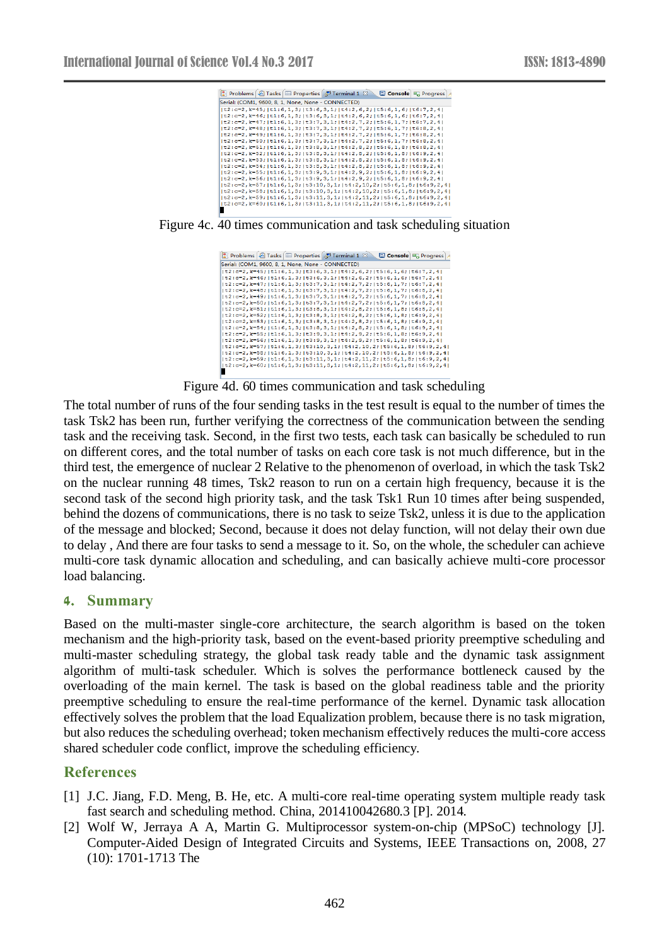

Figure 4c. 40 times communication and task scheduling situation

| Problems <b>2</b> Tasks <b>E</b> Properties <b>P</b> Terminal 1 $\otimes$<br>E Console <b>B</b> Progress                         |  |
|----------------------------------------------------------------------------------------------------------------------------------|--|
| Serial: (COM1, 9600, 8, 1, None, None - CONNECTED)                                                                               |  |
| t2:c=2,k=45; t1:6,1,3; t3:6,3,1; t4:2,6,2; t5:6,1,6; t6:7,2,4                                                                    |  |
| lt2:c=2,k=46;lt1:6,1,3;lt3:6,3,1;lt4:2,6,2;lt5:6,1,6;lt6:7,2,4l                                                                  |  |
| t2:c=2,k=47; t1:6,1,3; t3:7,3,1; t4:2,7,2; t5:6,1,7; t6:7,2,4                                                                    |  |
| t2:c=2,k=48; t1:6,1,3; t3:7,3,1; t4:2,7,2; t5:6,1,7; t6:8,2,4                                                                    |  |
| t2:c=2,k=49; t1:6,1,3; t3:7,3,1; t4:2,7,2; t5:6,1,7; t6:8,2,4                                                                    |  |
| lt2:c=2,k=50;lt1:6,1,3;lt3:7,3,1;lt4:2,7,2;lt5:6,1,7;lt6:8,2,4l                                                                  |  |
| lt2:c=2,k=51;lt1:6,1,3;lt3:8,3,1;lt4:2,8,2;lt5:6,1,8;lt6:8,2,4l                                                                  |  |
| t2:c=2,k=52; t1:6,1,3; t3:8,3,1; t4:2,8,2; t5:6,1,8; t6:9,2,4 <br> t2:c=2,k=53; t1:6,1,3; t3:8,3,1; t4:2,8,2; t5:6,1,8; t6:9,2,4 |  |
| t2:c=2,k=54; t1:6,1,3; t3:8,3,1; t4:2,8,2; t5:6,1,8; t6:9,2,4                                                                    |  |
| lt2:c=2,k=55;lt1:6,1,3;lt3:9,3,1;lt4:2,9,2;lt5:6,1,8;lt6:9,2,4l                                                                  |  |
| t2:c=2,k=56; t1:6,1,3; t3:9,3,1; t4:2,9,2; t5:6,1,8; t6:9,2,4                                                                    |  |
| t2:c=2,k=57; t1:6,1,3; t3:10,3,1; t4:2,10,2; t5:6,1,8; t6:9,2,4                                                                  |  |
| t2:c=2,k=58; t1:6,1,3; t3:10,3,1; t4:2,10,2; t5:6,1,8; t6:9,2,4                                                                  |  |
| t2:c=2,k=59; t1:6,1,3; t3:11,3,1; t4:2,11,2; t5:6,1,8; t6:9,2,4                                                                  |  |
| t2:c=2,k=60; t1:6,1,3; t3:11,3,1; t4:2,11,2; t5:6,1,8; t6:9,2,4                                                                  |  |
|                                                                                                                                  |  |

Figure 4d. 60 times communication and task scheduling

The total number of runs of the four sending tasks in the test result is equal to the number of times the task Tsk2 has been run, further verifying the correctness of the communication between the sending task and the receiving task. Second, in the first two tests, each task can basically be scheduled to run on different cores, and the total number of tasks on each core task is not much difference, but in the third test, the emergence of nuclear 2 Relative to the phenomenon of overload, in which the task Tsk2 on the nuclear running 48 times, Tsk2 reason to run on a certain high frequency, because it is the second task of the second high priority task, and the task Tsk1 Run 10 times after being suspended, behind the dozens of communications, there is no task to seize Tsk2, unless it is due to the application of the message and blocked; Second, because it does not delay function, will not delay their own due to delay , And there are four tasks to send a message to it. So, on the whole, the scheduler can achieve multi-core task dynamic allocation and scheduling, and can basically achieve multi-core processor load balancing.

#### **4. Summary**

Based on the multi-master single-core architecture, the search algorithm is based on the token mechanism and the high-priority task, based on the event-based priority preemptive scheduling and multi-master scheduling strategy, the global task ready table and the dynamic task assignment algorithm of multi-task scheduler. Which is solves the performance bottleneck caused by the overloading of the main kernel. The task is based on the global readiness table and the priority preemptive scheduling to ensure the real-time performance of the kernel. Dynamic task allocation effectively solves the problem that the load Equalization problem, because there is no task migration, but also reduces the scheduling overhead; token mechanism effectively reduces the multi-core access shared scheduler code conflict, improve the scheduling efficiency.

### **References**

- [1] J.C. Jiang, F.D. Meng, B. He, etc. A multi-core real-time operating system multiple ready task fast search and scheduling method. China, 201410042680.3 [P]. 2014.
- [2] Wolf W, Jerraya A A, Martin G. Multiprocessor system-on-chip (MPSoC) technology [J]. Computer-Aided Design of Integrated Circuits and Systems, IEEE Transactions on, 2008, 27 (10): 1701-1713 The